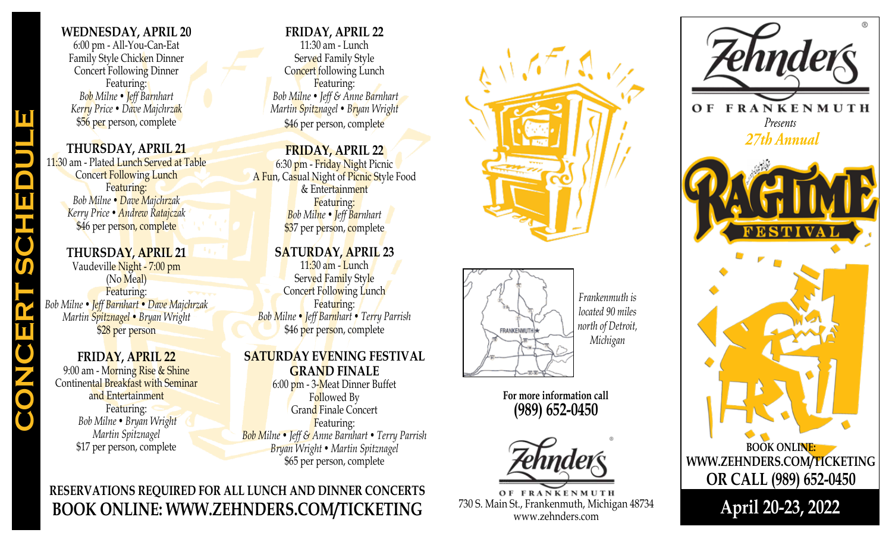# **WEDNESDAY, APRIL 20**

6:00 pm - All-You-Can-Eat Family Style Chicken Dinner Concert Following Dinner Featuring: *Bob Milne • Jeff Barnhart Kerry Price • Dave Majchrzak* \$56 per person, complete

# **THURSDAY, APRIL 21**

11:30 am - Plated Lunch Served at Table Concert Following Lunch Featuring: *Bob Milne • Dave Majchrzak Kerry Price • Andrew Ratajczak* \$46 per person, complete

# **THURSDAY, APRIL 21**

Vaudeville Night - 7:00 pm (No Meal) Featuring: *Bob Milne • Jeff Barnhart • Dave Majchrzak Martin Spitznagel • Bryan Wright* \$28 per person

**CONCERT SCHEDULE**

# **FRIDAY, APRIL 22**

9:00 am - Morning Rise & Shine Continental Breakfast with Seminar and Entertainment Featuring: *Bob Milne • Bryan Wright Martin Spitznagel* \$17 per person, complete

# **FRIDAY, APRIL 22**

11:30 am - Lunch Served Family Style Concert following Lunch Featuring: *Bob Milne • Jeff & Anne Barnhart Martin Spitznagel • Bryan Wright* \$46 per person, complete

### **FRIDAY, APRIL 22**

6:30 pm - Friday Night Picnic A Fun, Casual Night of Picnic Style Food & Entertainment Featuring: *Bob Milne • Jeff Barnhart* \$37 per person, complete

# **SATURDAY, APRIL 23**

11:30 am - Lunch Served Family Style Concert Following Lunch Featuring: *Bob Milne • Jeff Barnhart • Terry Parrish* \$46 per person, complete

# **SATURDAY EVENING FESTIVAL**

**GRAND FINALE**

6:00 pm - 3-Meat Dinner Buffet Followed By Grand Finale Concert Featuring: *Bob Milne • Jeff & Anne Barnhart • Terry Parrish Bryan Wright • Martin Spitznagel* \$65 per person, complete

# **RESERVATIONS REQUIRED FOR ALL LUNCH AND DINNER CONCERTS BOOK ONLINE: WWW.ZEHNDERS.COM/TICKETING**





*Frankenmuth is located 90 miles north of Detroit, Michigan*

**For more information call (989) 652-0450**



OF FRANKENMUTH 730 S. Main St., Frankenmuth, Michigan 48734 www.zehnders.com